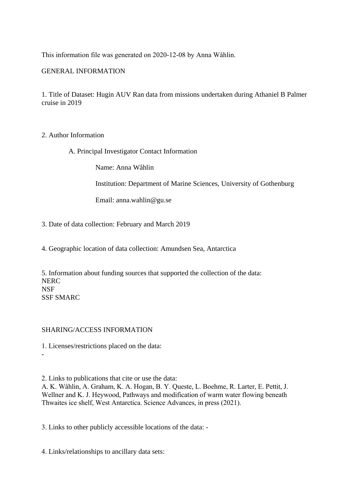This information file was generated on 2020-12-08 by Anna Wåhlin.

## GENERAL INFORMATION

1. Title of Dataset: Hugin AUV Ran data from missions undertaken during Athaniel B Palmer cruise in 2019

## 2. Author Information

A. Principal Investigator Contact Information

Name: Anna Wåhlin

Institution: Department of Marine Sciences, University of Gothenburg

Email: anna.wahlin@gu.se

3. Date of data collection: February and March 2019

4. Geographic location of data collection: Amundsen Sea, Antarctica

5. Information about funding sources that supported the collection of the data: NERC NSF SSF SMARC

## SHARING/ACCESS INFORMATION

-

1. Licenses/restrictions placed on the data:

2. Links to publications that cite or use the data:

A. K. Wåhlin, A. Graham, K. A. Hogan, B. Y. Queste, L. Boehme, R. Larter, E. Pettit, J. Wellner and K. J. Heywood, Pathways and modification of warm water flowing beneath Thwaites ice shelf, West Antarctica. Science Advances, in press (2021).

3. Links to other publicly accessible locations of the data: -

4. Links/relationships to ancillary data sets: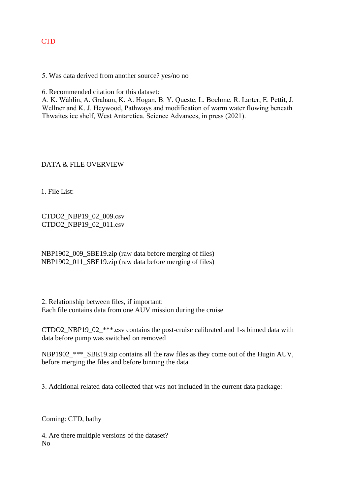# **CTD**

5. Was data derived from another source? yes/no no

6. Recommended citation for this dataset:

A. K. Wåhlin, A. Graham, K. A. Hogan, B. Y. Queste, L. Boehme, R. Larter, E. Pettit, J. Wellner and K. J. Heywood, Pathways and modification of warm water flowing beneath Thwaites ice shelf, West Antarctica. Science Advances, in press (2021).

DATA & FILE OVERVIEW

1. File List:

CTDO2\_NBP19\_02\_009.csv CTDO2\_NBP19\_02\_011.csv

NBP1902\_009\_SBE19.zip (raw data before merging of files) NBP1902\_011\_SBE19.zip (raw data before merging of files)

2. Relationship between files, if important: Each file contains data from one AUV mission during the cruise

CTDO2\_NBP19\_02\_\*\*\*.csv contains the post-cruise calibrated and 1-s binned data with data before pump was switched on removed

NBP1902\_\*\*\*\_SBE19.zip contains all the raw files as they come out of the Hugin AUV, before merging the files and before binning the data

3. Additional related data collected that was not included in the current data package:

Coming: CTD, bathy

4. Are there multiple versions of the dataset? No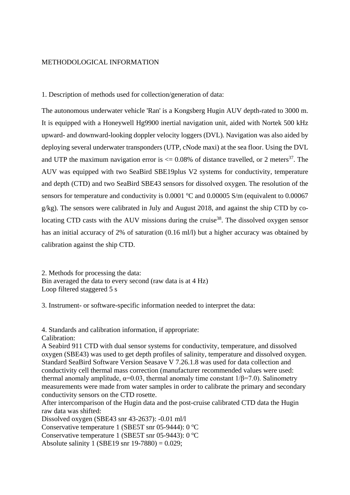## METHODOLOGICAL INFORMATION

1. Description of methods used for collection/generation of data:

The autonomous underwater vehicle 'Ran' is a Kongsberg Hugin AUV depth-rated to 3000 m. It is equipped with a Honeywell Hg9900 inertial navigation unit, aided with Nortek 500 kHz upward- and downward-looking doppler velocity loggers (DVL). Navigation was also aided by deploying several underwater transponders (UTP, cNode maxi) at the sea floor. Using the DVL and UTP the maximum navigation error is  $\leq$  0.08% of distance travelled, or 2 meters<sup>37</sup>. The AUV was equipped with two SeaBird SBE19plus V2 systems for conductivity, temperature and depth (CTD) and two SeaBird SBE43 sensors for dissolved oxygen. The resolution of the sensors for temperature and conductivity is  $0.0001$  °C and  $0.00005$  S/m (equivalent to  $0.00067$ g/kg). The sensors were calibrated in July and August 2018, and against the ship CTD by colocating CTD casts with the AUV missions during the cruise<sup>38</sup>. The dissolved oxygen sensor has an initial accuracy of 2% of saturation (0.16 ml/l) but a higher accuracy was obtained by calibration against the ship CTD.

2. Methods for processing the data: Bin averaged the data to every second (raw data is at 4 Hz) Loop filtered staggered 5 s

3. Instrument- or software-specific information needed to interpret the data:

4. Standards and calibration information, if appropriate:

Calibration:

A Seabird 911 CTD with dual sensor systems for conductivity, temperature, and dissolved oxygen (SBE43) was used to get depth profiles of salinity, temperature and dissolved oxygen. Standard SeaBird Software Version Seasave V 7.26.1.8 was used for data collection and conductivity cell thermal mass correction (manufacturer recommended values were used: thermal anomaly amplitude,  $\alpha=0.03$ , thermal anomaly time constant  $1/\beta=7.0$ ). Salinometry measurements were made from water samples in order to calibrate the primary and secondary conductivity sensors on the CTD rosette.

After intercomparison of the Hugin data and the post-cruise calibrated CTD data the Hugin raw data was shifted:

Dissolved oxygen (SBE43 snr 43-2637): -0.01 ml/l

Conservative temperature 1 (SBE5T snr 05-9444): 0 °C

Conservative temperature 1 (SBE5T snr 05-9443): 0 °C

Absolute salinity 1 (SBE19 snr 19-7880) = 0.029;